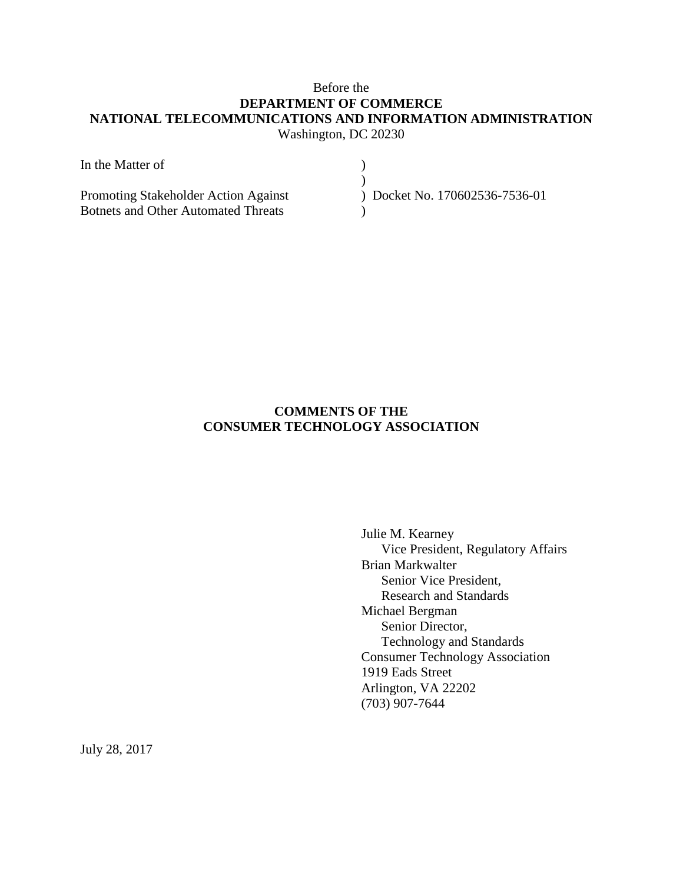## Before the **DEPARTMENT OF COMMERCE NATIONAL TELECOMMUNICATIONS AND INFORMATION ADMINISTRATION** Washington, DC 20230

| In the Matter of                           |                              |
|--------------------------------------------|------------------------------|
|                                            |                              |
| Promoting Stakeholder Action Against       | Docket No. 170602536-7536-01 |
| <b>Botnets and Other Automated Threats</b> |                              |

## **COMMENTS OF THE CONSUMER TECHNOLOGY ASSOCIATION**

Julie M. Kearney Vice President, Regulatory Affairs Brian Markwalter Senior Vice President, Research and Standards Michael Bergman Senior Director, Technology and Standards Consumer Technology Association 1919 Eads Street Arlington, VA 22202 (703) 907-7644

July 28, 2017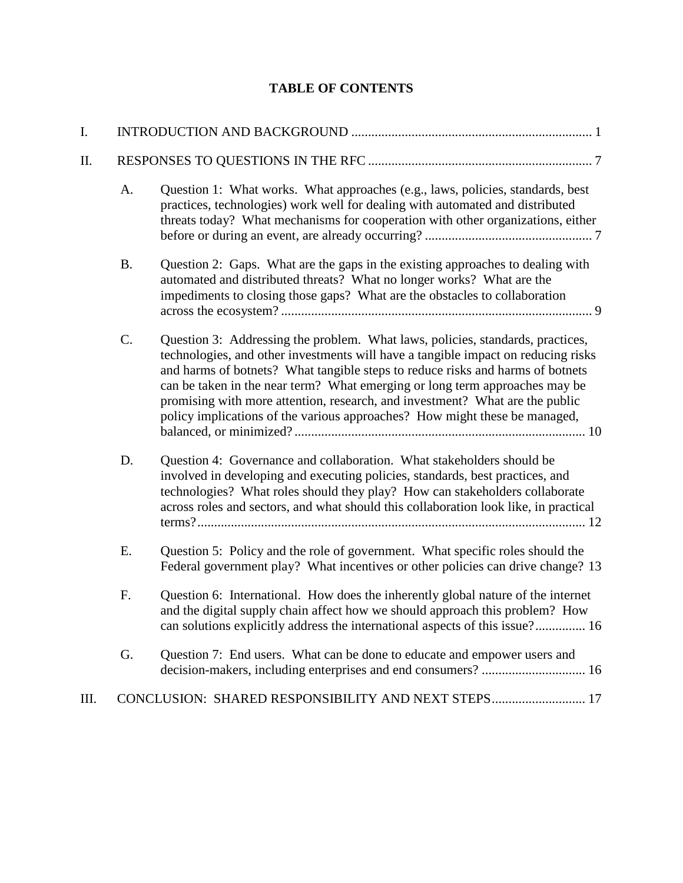# **TABLE OF CONTENTS**

| I.  |           |                                                                                                                                                                                                                                                                                                                                                                                                                                                                                                    |  |
|-----|-----------|----------------------------------------------------------------------------------------------------------------------------------------------------------------------------------------------------------------------------------------------------------------------------------------------------------------------------------------------------------------------------------------------------------------------------------------------------------------------------------------------------|--|
| II. |           |                                                                                                                                                                                                                                                                                                                                                                                                                                                                                                    |  |
|     | A.        | Question 1: What works. What approaches (e.g., laws, policies, standards, best<br>practices, technologies) work well for dealing with automated and distributed<br>threats today? What mechanisms for cooperation with other organizations, either                                                                                                                                                                                                                                                 |  |
|     | <b>B.</b> | Question 2: Gaps. What are the gaps in the existing approaches to dealing with<br>automated and distributed threats? What no longer works? What are the<br>impediments to closing those gaps? What are the obstacles to collaboration                                                                                                                                                                                                                                                              |  |
|     | C.        | Question 3: Addressing the problem. What laws, policies, standards, practices,<br>technologies, and other investments will have a tangible impact on reducing risks<br>and harms of botnets? What tangible steps to reduce risks and harms of botnets<br>can be taken in the near term? What emerging or long term approaches may be<br>promising with more attention, research, and investment? What are the public<br>policy implications of the various approaches? How might these be managed, |  |
|     | D.        | Question 4: Governance and collaboration. What stakeholders should be<br>involved in developing and executing policies, standards, best practices, and<br>technologies? What roles should they play? How can stakeholders collaborate<br>across roles and sectors, and what should this collaboration look like, in practical                                                                                                                                                                      |  |
|     | Ε.        | Question 5: Policy and the role of government. What specific roles should the<br>Federal government play? What incentives or other policies can drive change? 13                                                                                                                                                                                                                                                                                                                                   |  |
|     | F.        | Question 6: International. How does the inherently global nature of the internet<br>and the digital supply chain affect how we should approach this problem? How<br>can solutions explicitly address the international aspects of this issue? 16                                                                                                                                                                                                                                                   |  |
|     | G.        | Question 7: End users. What can be done to educate and empower users and                                                                                                                                                                                                                                                                                                                                                                                                                           |  |
| Ш.  |           | CONCLUSION: SHARED RESPONSIBILITY AND NEXT STEPS 17                                                                                                                                                                                                                                                                                                                                                                                                                                                |  |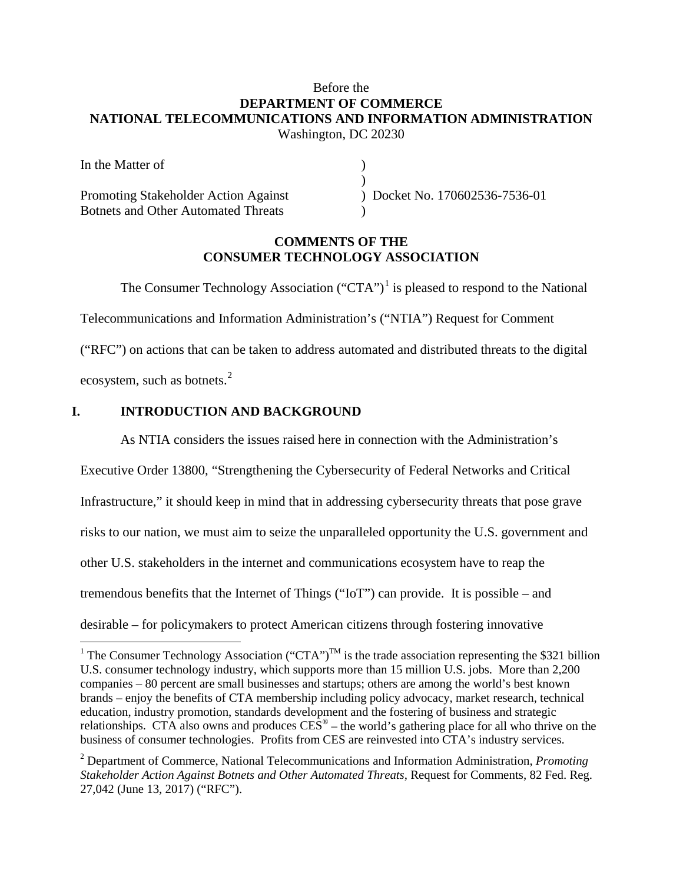## Before the **DEPARTMENT OF COMMERCE NATIONAL TELECOMMUNICATIONS AND INFORMATION ADMINISTRATION** Washington, DC 20230

| In the Matter of                           |                              |
|--------------------------------------------|------------------------------|
|                                            |                              |
| Promoting Stakeholder Action Against       | Docket No. 170602536-7536-01 |
| <b>Botnets and Other Automated Threats</b> |                              |

#### **COMMENTS OF THE CONSUMER TECHNOLOGY ASSOCIATION**

The Consumer Technology Association ("CTA")<sup>[1](#page-2-1)</sup> is pleased to respond to the National Telecommunications and Information Administration's ("NTIA") Request for Comment ("RFC") on actions that can be taken to address automated and distributed threats to the digital ecosystem, such as botnets.<sup>[2](#page-2-2)</sup>

## <span id="page-2-0"></span>**I. INTRODUCTION AND BACKGROUND**

As NTIA considers the issues raised here in connection with the Administration's

Executive Order 13800, "Strengthening the Cybersecurity of Federal Networks and Critical Infrastructure," it should keep in mind that in addressing cybersecurity threats that pose grave risks to our nation, we must aim to seize the unparalleled opportunity the U.S. government and other U.S. stakeholders in the internet and communications ecosystem have to reap the tremendous benefits that the Internet of Things ("IoT") can provide. It is possible – and desirable – for policymakers to protect American citizens through fostering innovative

<span id="page-2-1"></span><sup>&</sup>lt;sup>1</sup> The Consumer Technology Association ("CTA")<sup>TM</sup> is the trade association representing the \$321 billion U.S. consumer technology industry, which supports more than 15 million U.S. jobs. More than 2,200 companies – 80 percent are small businesses and startups; others are among the world's best known brands – enjoy the benefits of CTA membership including policy advocacy, market research, technical education, industry promotion, standards development and the fostering of business and strategic relationships. CTA also owns and produces  $CES^*$  – the world's gathering place for all who thrive on the business of consumer technologies. Profits from CES are reinvested into CTA's industry services.

<span id="page-2-2"></span><sup>2</sup> Department of Commerce, National Telecommunications and Information Administration, *Promoting Stakeholder Action Against Botnets and Other Automated Threats*, Request for Comments, 82 Fed. Reg. 27,042 (June 13, 2017) ("RFC").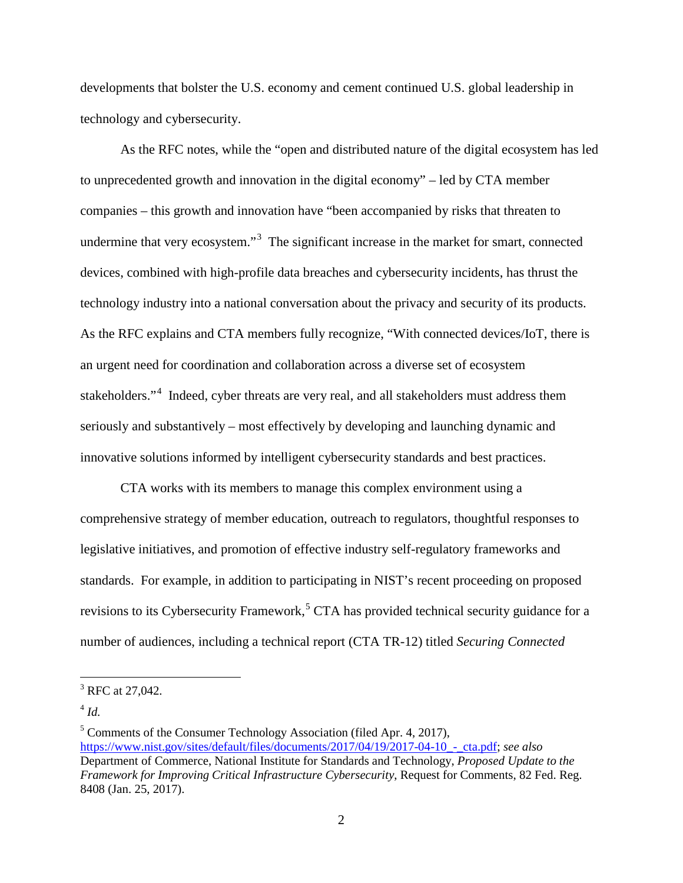developments that bolster the U.S. economy and cement continued U.S. global leadership in technology and cybersecurity.

As the RFC notes, while the "open and distributed nature of the digital ecosystem has led to unprecedented growth and innovation in the digital economy" – led by CTA member companies – this growth and innovation have "been accompanied by risks that threaten to undermine that very ecosystem."<sup>[3](#page-3-0)</sup> The significant increase in the market for smart, connected devices, combined with high-profile data breaches and cybersecurity incidents, has thrust the technology industry into a national conversation about the privacy and security of its products. As the RFC explains and CTA members fully recognize, "With connected devices/IoT, there is an urgent need for coordination and collaboration across a diverse set of ecosystem stakeholders."<sup>[4](#page-3-1)</sup> Indeed, cyber threats are very real, and all stakeholders must address them seriously and substantively – most effectively by developing and launching dynamic and innovative solutions informed by intelligent cybersecurity standards and best practices.

CTA works with its members to manage this complex environment using a comprehensive strategy of member education, outreach to regulators, thoughtful responses to legislative initiatives, and promotion of effective industry self-regulatory frameworks and standards. For example, in addition to participating in NIST's recent proceeding on proposed revisions to its Cybersecurity Framework,<sup>[5](#page-3-2)</sup> CTA has provided technical security guidance for a number of audiences, including a technical report (CTA TR-12) titled *Securing Connected* 

<span id="page-3-0"></span><sup>&</sup>lt;sup>3</sup> RFC at 27,042.

<span id="page-3-1"></span> $^{4}$  *Id.* 

<span id="page-3-2"></span> $5$  Comments of the Consumer Technology Association (filed Apr. 4, 2017), [https://www.nist.gov/sites/default/files/documents/2017/04/19/2017-04-10\\_-\\_cta.pdf;](https://www.nist.gov/sites/default/files/documents/2017/04/19/2017-04-10_-_cta.pdf) *see also* Department of Commerce, National Institute for Standards and Technology, *Proposed Update to the Framework for Improving Critical Infrastructure Cybersecurity*, Request for Comments, 82 Fed. Reg. 8408 (Jan. 25, 2017).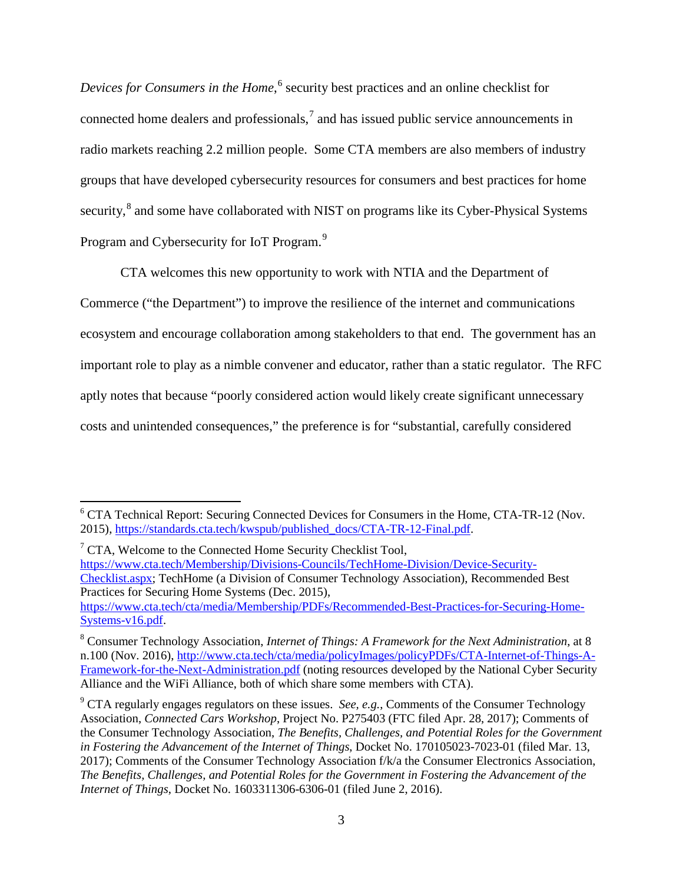*Devices for Consumers in the Home*, [6](#page-4-0) security best practices and an online checklist for connected home dealers and professionals, $<sup>7</sup>$  $<sup>7</sup>$  $<sup>7</sup>$  and has issued public service announcements in</sup> radio markets reaching 2.2 million people. Some CTA members are also members of industry groups that have developed cybersecurity resources for consumers and best practices for home security,<sup>[8](#page-4-2)</sup> and some have collaborated with NIST on programs like its Cyber-Physical Systems Program and Cybersecurity for IoT Program.<sup>[9](#page-4-3)</sup>

CTA welcomes this new opportunity to work with NTIA and the Department of Commerce ("the Department") to improve the resilience of the internet and communications ecosystem and encourage collaboration among stakeholders to that end. The government has an important role to play as a nimble convener and educator, rather than a static regulator. The RFC aptly notes that because "poorly considered action would likely create significant unnecessary costs and unintended consequences," the preference is for "substantial, carefully considered

<span id="page-4-1"></span> $\sqrt{7}$  CTA, Welcome to the Connected Home Security Checklist Tool, [https://www.cta.tech/Membership/Divisions-Councils/TechHome-Division/Device-Security-](https://www.cta.tech/Membership/Divisions-Councils/TechHome-Division/Device-Security-Checklist.aspx)[Checklist.aspx;](https://www.cta.tech/Membership/Divisions-Councils/TechHome-Division/Device-Security-Checklist.aspx) TechHome (a Division of Consumer Technology Association), Recommended Best Practices for Securing Home Systems (Dec. 2015),

<span id="page-4-0"></span><sup>&</sup>lt;sup>6</sup> CTA Technical Report: Securing Connected Devices for Consumers in the Home, CTA-TR-12 (Nov. 2015), [https://standards.cta.tech/kwspub/published\\_docs/CTA-TR-12-Final.pdf.](https://standards.cta.tech/kwspub/published_docs/CTA-TR-12-Final.pdf)

[https://www.cta.tech/cta/media/Membership/PDFs/Recommended-Best-Practices-for-Securing-Home-](https://www.cta.tech/cta/media/Membership/PDFs/Recommended-Best-Practices-for-Securing-Home-Systems-v16.pdf)[Systems-v16.pdf.](https://www.cta.tech/cta/media/Membership/PDFs/Recommended-Best-Practices-for-Securing-Home-Systems-v16.pdf)

<span id="page-4-2"></span><sup>8</sup> Consumer Technology Association, *Internet of Things: A Framework for the Next Administration*, at 8 n.100 (Nov. 2016), [http://www.cta.tech/cta/media/policyImages/policyPDFs/CTA-Internet-of-Things-A-](http://www.cta.tech/cta/media/policyImages/policyPDFs/CTA-Internet-of-Things-A-Framework-for-the-Next-Administration.pdf)[Framework-for-the-Next-Administration.pdf](http://www.cta.tech/cta/media/policyImages/policyPDFs/CTA-Internet-of-Things-A-Framework-for-the-Next-Administration.pdf) (noting resources developed by the National Cyber Security Alliance and the WiFi Alliance, both of which share some members with CTA).

<span id="page-4-3"></span><sup>9</sup> CTA regularly engages regulators on these issues. *See, e.g.*, Comments of the Consumer Technology Association, *Connected Cars Workshop*, Project No. P275403 (FTC filed Apr. 28, 2017); Comments of the Consumer Technology Association, *The Benefits, Challenges, and Potential Roles for the Government in Fostering the Advancement of the Internet of Things*, Docket No. 170105023-7023-01 (filed Mar. 13, 2017); Comments of the Consumer Technology Association f/k/a the Consumer Electronics Association, *The Benefits, Challenges, and Potential Roles for the Government in Fostering the Advancement of the Internet of Things*, Docket No. 1603311306-6306-01 (filed June 2, 2016).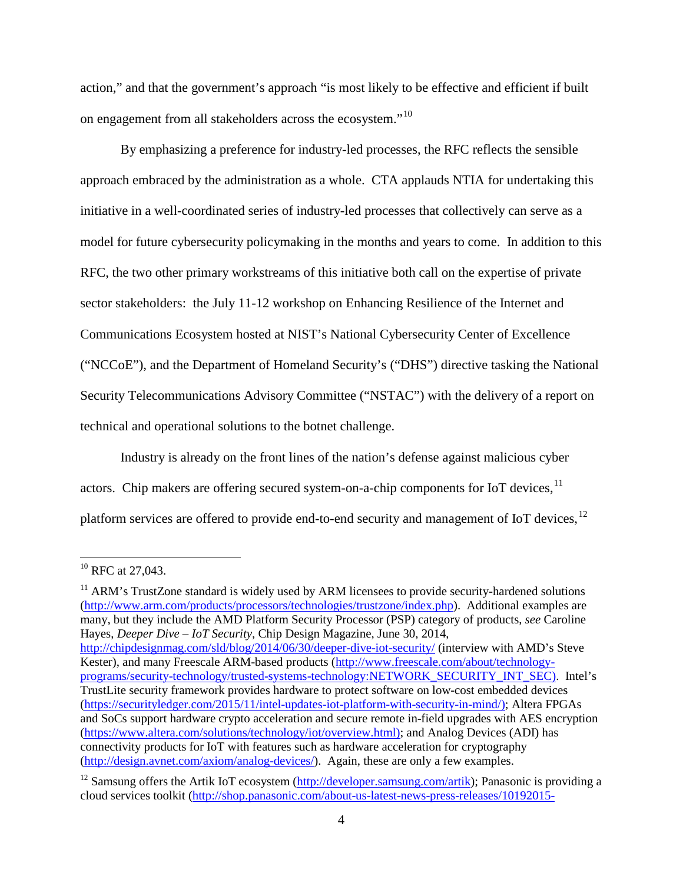action," and that the government's approach "is most likely to be effective and efficient if built on engagement from all stakeholders across the ecosystem."[10](#page-5-0) 

By emphasizing a preference for industry-led processes, the RFC reflects the sensible approach embraced by the administration as a whole. CTA applauds NTIA for undertaking this initiative in a well-coordinated series of industry-led processes that collectively can serve as a model for future cybersecurity policymaking in the months and years to come. In addition to this RFC, the two other primary workstreams of this initiative both call on the expertise of private sector stakeholders: the July 11-12 workshop on Enhancing Resilience of the Internet and Communications Ecosystem hosted at NIST's National Cybersecurity Center of Excellence ("NCCoE"), and the Department of Homeland Security's ("DHS") directive tasking the National Security Telecommunications Advisory Committee ("NSTAC") with the delivery of a report on technical and operational solutions to the botnet challenge.

Industry is already on the front lines of the nation's defense against malicious cyber actors. Chip makers are offering secured system-on-a-chip components for IoT devices,  $^{11}$  $^{11}$  $^{11}$ platform services are offered to provide end-to-end security and management of IoT devices, <sup>[12](#page-5-2)</sup>

<span id="page-5-1"></span> $11$  ARM's TrustZone standard is widely used by ARM licensees to provide security-hardened solutions [\(http://www.arm.com/products/processors/technologies/trustzone/index.php\)](http://www.arm.com/products/processors/technologies/trustzone/index.php). Additional examples are many, but they include the AMD Platform Security Processor (PSP) category of products, *see* Caroline Hayes, *Deeper Dive – IoT Security*, Chip Design Magazine, June 30, 2014,

<http://chipdesignmag.com/sld/blog/2014/06/30/deeper-dive-iot-security/> (interview with AMD's Steve Kester), and many Freescale ARM-based products [\(http://www.freescale.com/about/technology](http://www.freescale.com/about/technology-programs/security-technology/trusted-systems-technology:NETWORK_SECURITY_INT_SEC)[programs/security-technology/trusted-systems-technology:NETWORK\\_SECURITY\\_INT\\_SEC\)](http://www.freescale.com/about/technology-programs/security-technology/trusted-systems-technology:NETWORK_SECURITY_INT_SEC). Intel's TrustLite security framework provides hardware to protect software on low-cost embedded devices [\(https://securityledger.com/2015/11/intel-updates-iot-platform-with-security-in-mind/\)](https://securityledger.com/2015/11/intel-updates-iot-platform-with-security-in-mind/); Altera FPGAs and SoCs support hardware crypto acceleration and secure remote in-field upgrades with AES encryption [\(https://www.altera.com/solutions/technology/iot/overview.html\)](https://www.altera.com/solutions/technology/iot/overview.html); and Analog Devices (ADI) has connectivity products for IoT with features such as hardware acceleration for cryptography [\(http://design.avnet.com/axiom/analog-devices/\)](http://design.avnet.com/axiom/analog-devices/). Again, these are only a few examples.

<span id="page-5-0"></span><sup>&</sup>lt;sup>10</sup> RFC at 27,043.

<span id="page-5-2"></span><sup>&</sup>lt;sup>12</sup> Samsung offers the Artik IoT ecosystem [\(http://developer.samsung.com/artik\)](http://developer.samsung.com/artik); Panasonic is providing a cloud services toolkit [\(http://shop.panasonic.com/about-us-latest-news-press-releases/10192015-](http://shop.panasonic.com/about-us-latest-news-press-releases/10192015-cloudservicetoolkit.html)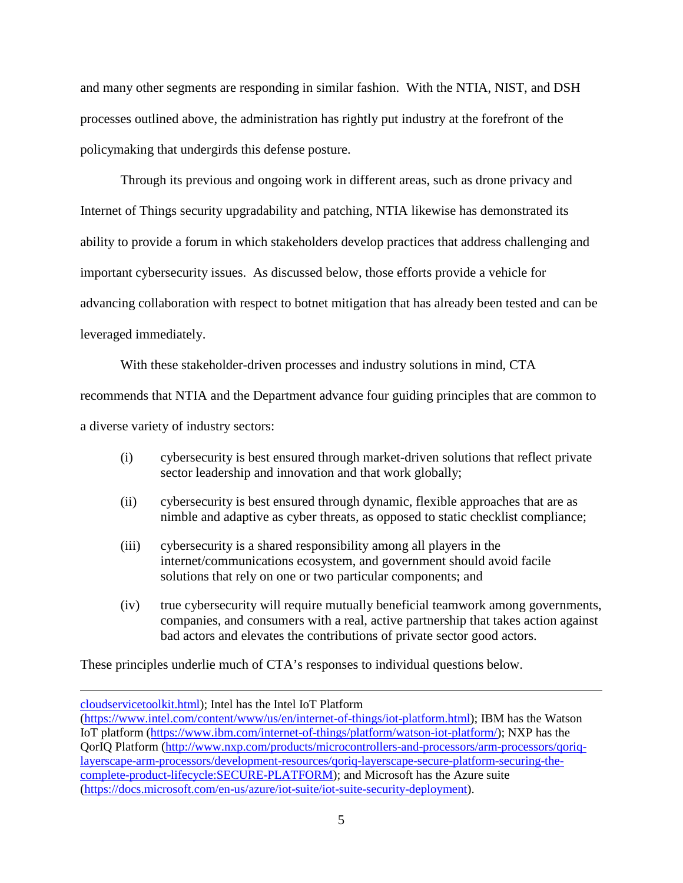and many other segments are responding in similar fashion. With the NTIA, NIST, and DSH processes outlined above, the administration has rightly put industry at the forefront of the policymaking that undergirds this defense posture.

Through its previous and ongoing work in different areas, such as drone privacy and Internet of Things security upgradability and patching, NTIA likewise has demonstrated its ability to provide a forum in which stakeholders develop practices that address challenging and important cybersecurity issues. As discussed below, those efforts provide a vehicle for advancing collaboration with respect to botnet mitigation that has already been tested and can be leveraged immediately.

With these stakeholder-driven processes and industry solutions in mind, CTA recommends that NTIA and the Department advance four guiding principles that are common to a diverse variety of industry sectors:

- (i) cybersecurity is best ensured through market-driven solutions that reflect private sector leadership and innovation and that work globally;
- (ii) cybersecurity is best ensured through dynamic, flexible approaches that are as nimble and adaptive as cyber threats, as opposed to static checklist compliance;
- (iii) cybersecurity is a shared responsibility among all players in the internet/communications ecosystem, and government should avoid facile solutions that rely on one or two particular components; and
- (iv) true cybersecurity will require mutually beneficial teamwork among governments, companies, and consumers with a real, active partnership that takes action against bad actors and elevates the contributions of private sector good actors.

These principles underlie much of CTA's responses to individual questions below.

 $\overline{a}$ 

[cloudservicetoolkit.html\)](http://shop.panasonic.com/about-us-latest-news-press-releases/10192015-cloudservicetoolkit.html); Intel has the Intel IoT Platform

[<sup>\(</sup>https://www.intel.com/content/www/us/en/internet-of-things/iot-platform.html\)](https://www.intel.com/content/www/us/en/internet-of-things/iot-platform.html); IBM has the Watson IoT platform [\(https://www.ibm.com/internet-of-things/platform/watson-iot-platform/\)](https://www.ibm.com/internet-of-things/platform/watson-iot-platform/); NXP has the QorIQ Platform [\(http://www.nxp.com/products/microcontrollers-and-processors/arm-processors/qoriq](http://www.nxp.com/products/microcontrollers-and-processors/arm-processors/qoriq-layerscape-arm-processors/development-resources/qoriq-layerscape-secure-platform-securing-the-complete-product-lifecycle:SECURE-PLATFORM)[layerscape-arm-processors/development-resources/qoriq-layerscape-secure-platform-securing-the](http://www.nxp.com/products/microcontrollers-and-processors/arm-processors/qoriq-layerscape-arm-processors/development-resources/qoriq-layerscape-secure-platform-securing-the-complete-product-lifecycle:SECURE-PLATFORM)[complete-product-lifecycle:SECURE-PLATFORM\)](http://www.nxp.com/products/microcontrollers-and-processors/arm-processors/qoriq-layerscape-arm-processors/development-resources/qoriq-layerscape-secure-platform-securing-the-complete-product-lifecycle:SECURE-PLATFORM); and Microsoft has the Azure suite [\(https://docs.microsoft.com/en-us/azure/iot-suite/iot-suite-security-deployment\)](https://docs.microsoft.com/en-us/azure/iot-suite/iot-suite-security-deployment).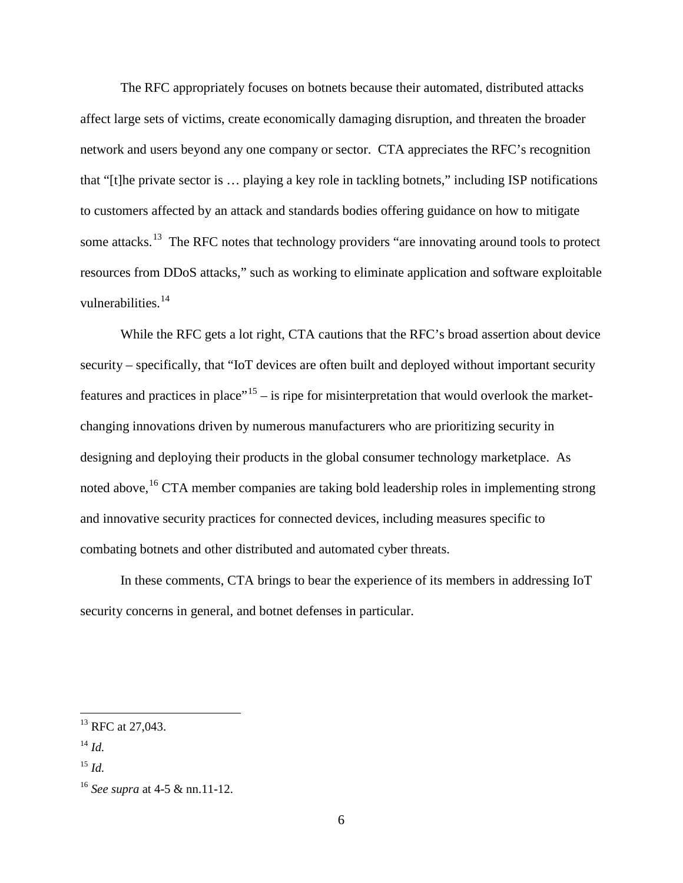The RFC appropriately focuses on botnets because their automated, distributed attacks affect large sets of victims, create economically damaging disruption, and threaten the broader network and users beyond any one company or sector. CTA appreciates the RFC's recognition that "[t]he private sector is … playing a key role in tackling botnets," including ISP notifications to customers affected by an attack and standards bodies offering guidance on how to mitigate some attacks.<sup>[13](#page-7-0)</sup> The RFC notes that technology providers "are innovating around tools to protect resources from DDoS attacks," such as working to eliminate application and software exploitable vulnerabilities.<sup>[14](#page-7-1)</sup>

While the RFC gets a lot right, CTA cautions that the RFC's broad assertion about device security – specifically, that "IoT devices are often built and deployed without important security features and practices in place"<sup>[15](#page-7-2)</sup> – is ripe for misinterpretation that would overlook the marketchanging innovations driven by numerous manufacturers who are prioritizing security in designing and deploying their products in the global consumer technology marketplace. As noted above, <sup>[16](#page-7-3)</sup> CTA member companies are taking bold leadership roles in implementing strong and innovative security practices for connected devices, including measures specific to combating botnets and other distributed and automated cyber threats.

In these comments, CTA brings to bear the experience of its members in addressing IoT security concerns in general, and botnet defenses in particular.

<span id="page-7-0"></span><sup>&</sup>lt;sup>13</sup> RFC at 27,043.

<span id="page-7-1"></span><sup>14</sup> *Id.*

<span id="page-7-2"></span><sup>15</sup> *Id.*

<span id="page-7-3"></span><sup>16</sup> *See supra* at 4-5 & nn.11-12.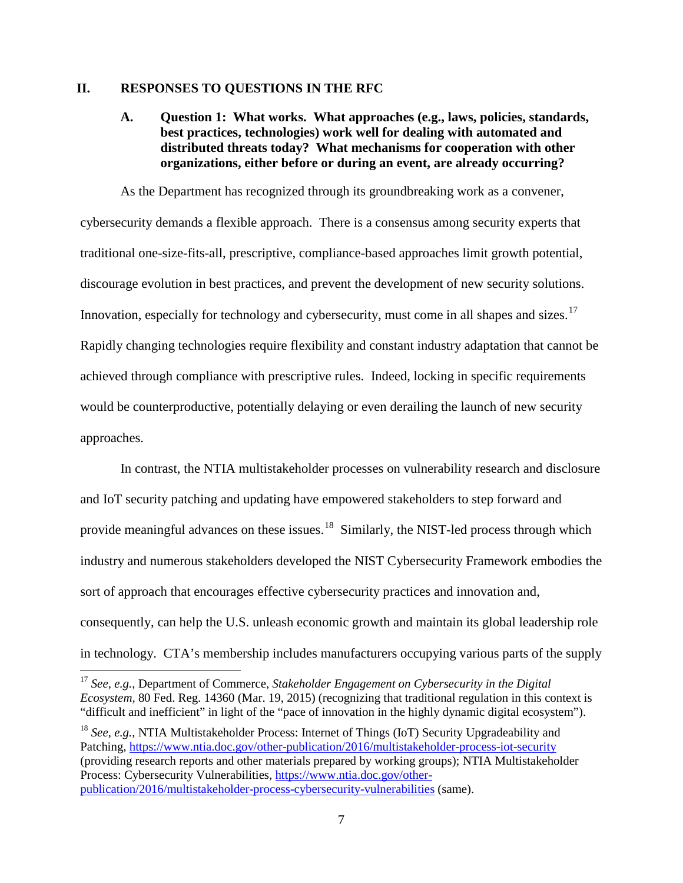#### <span id="page-8-1"></span><span id="page-8-0"></span>**II. RESPONSES TO QUESTIONS IN THE RFC**

## **A. Question 1: What works. What approaches (e.g., laws, policies, standards, best practices, technologies) work well for dealing with automated and distributed threats today? What mechanisms for cooperation with other organizations, either before or during an event, are already occurring?**

As the Department has recognized through its groundbreaking work as a convener, cybersecurity demands a flexible approach. There is a consensus among security experts that traditional one-size-fits-all, prescriptive, compliance-based approaches limit growth potential, discourage evolution in best practices, and prevent the development of new security solutions. Innovation, especially for technology and cybersecurity, must come in all shapes and sizes.<sup>[17](#page-8-2)</sup> Rapidly changing technologies require flexibility and constant industry adaptation that cannot be achieved through compliance with prescriptive rules. Indeed, locking in specific requirements would be counterproductive, potentially delaying or even derailing the launch of new security approaches.

In contrast, the NTIA multistakeholder processes on vulnerability research and disclosure and IoT security patching and updating have empowered stakeholders to step forward and provide meaningful advances on these issues.<sup>[18](#page-8-3)</sup> Similarly, the NIST-led process through which industry and numerous stakeholders developed the NIST Cybersecurity Framework embodies the sort of approach that encourages effective cybersecurity practices and innovation and, consequently, can help the U.S. unleash economic growth and maintain its global leadership role in technology. CTA's membership includes manufacturers occupying various parts of the supply

<span id="page-8-2"></span> <sup>17</sup> *See, e.g.*, Department of Commerce, *Stakeholder Engagement on Cybersecurity in the Digital Ecosystem*, 80 Fed. Reg. 14360 (Mar. 19, 2015) (recognizing that traditional regulation in this context is "difficult and inefficient" in light of the "pace of innovation in the highly dynamic digital ecosystem").

<span id="page-8-3"></span><sup>18</sup> *See, e.g.*, NTIA Multistakeholder Process: Internet of Things (IoT) Security Upgradeability and Patching,<https://www.ntia.doc.gov/other-publication/2016/multistakeholder-process-iot-security> (providing research reports and other materials prepared by working groups); NTIA Multistakeholder Process: Cybersecurity Vulnerabilities[, https://www.ntia.doc.gov/other](https://www.ntia.doc.gov/other-publication/2016/multistakeholder-process-cybersecurity-vulnerabilities)[publication/2016/multistakeholder-process-cybersecurity-vulnerabilities](https://www.ntia.doc.gov/other-publication/2016/multistakeholder-process-cybersecurity-vulnerabilities) (same).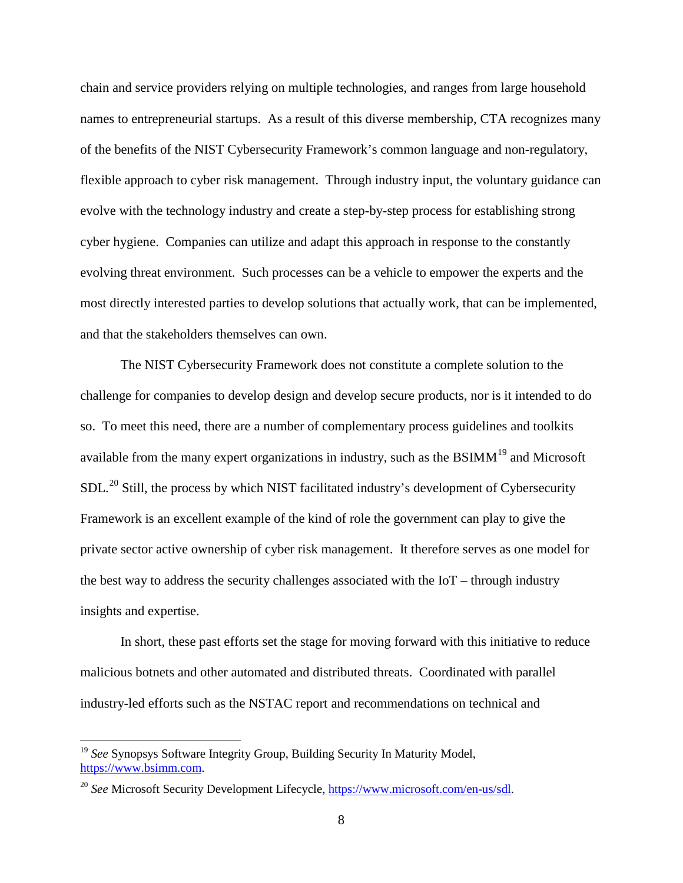chain and service providers relying on multiple technologies, and ranges from large household names to entrepreneurial startups. As a result of this diverse membership, CTA recognizes many of the benefits of the NIST Cybersecurity Framework's common language and non-regulatory, flexible approach to cyber risk management. Through industry input, the voluntary guidance can evolve with the technology industry and create a step-by-step process for establishing strong cyber hygiene. Companies can utilize and adapt this approach in response to the constantly evolving threat environment. Such processes can be a vehicle to empower the experts and the most directly interested parties to develop solutions that actually work, that can be implemented, and that the stakeholders themselves can own.

The NIST Cybersecurity Framework does not constitute a complete solution to the challenge for companies to develop design and develop secure products, nor is it intended to do so. To meet this need, there are a number of complementary process guidelines and toolkits available from the many expert organizations in industry, such as the  $BSIMM<sup>19</sup>$  $BSIMM<sup>19</sup>$  $BSIMM<sup>19</sup>$  and Microsoft  $SDL<sup>20</sup>$  $SDL<sup>20</sup>$  $SDL<sup>20</sup>$  Still, the process by which NIST facilitated industry's development of Cybersecurity Framework is an excellent example of the kind of role the government can play to give the private sector active ownership of cyber risk management. It therefore serves as one model for the best way to address the security challenges associated with the IoT – through industry insights and expertise.

In short, these past efforts set the stage for moving forward with this initiative to reduce malicious botnets and other automated and distributed threats. Coordinated with parallel industry-led efforts such as the NSTAC report and recommendations on technical and

<span id="page-9-0"></span><sup>&</sup>lt;sup>19</sup> See Synopsys Software Integrity Group, Building Security In Maturity Model, [https://www.bsimm.com.](https://www.bsimm.com/)

<span id="page-9-1"></span><sup>20</sup> *See* Microsoft Security Development Lifecycle, [https://www.microsoft.com/en-us/sdl.](https://www.microsoft.com/en-us/sdl)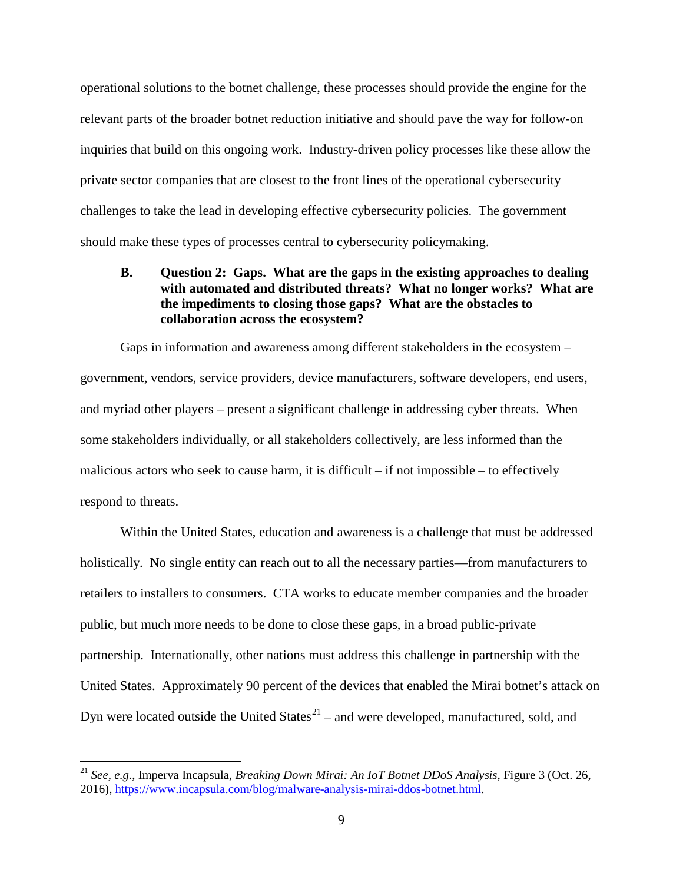operational solutions to the botnet challenge, these processes should provide the engine for the relevant parts of the broader botnet reduction initiative and should pave the way for follow-on inquiries that build on this ongoing work. Industry-driven policy processes like these allow the private sector companies that are closest to the front lines of the operational cybersecurity challenges to take the lead in developing effective cybersecurity policies. The government should make these types of processes central to cybersecurity policymaking.

### <span id="page-10-0"></span>**B. Question 2: Gaps. What are the gaps in the existing approaches to dealing with automated and distributed threats? What no longer works? What are the impediments to closing those gaps? What are the obstacles to collaboration across the ecosystem?**

Gaps in information and awareness among different stakeholders in the ecosystem – government, vendors, service providers, device manufacturers, software developers, end users, and myriad other players – present a significant challenge in addressing cyber threats. When some stakeholders individually, or all stakeholders collectively, are less informed than the malicious actors who seek to cause harm, it is difficult – if not impossible – to effectively respond to threats.

Within the United States, education and awareness is a challenge that must be addressed holistically. No single entity can reach out to all the necessary parties—from manufacturers to retailers to installers to consumers. CTA works to educate member companies and the broader public, but much more needs to be done to close these gaps, in a broad public-private partnership. Internationally, other nations must address this challenge in partnership with the United States. Approximately 90 percent of the devices that enabled the Mirai botnet's attack on Dyn were located outside the United States $21$  – and were developed, manufactured, sold, and

<span id="page-10-1"></span> <sup>21</sup> *See, e.g.*, Imperva Incapsula, *Breaking Down Mirai: An IoT Botnet DDoS Analysis*, Figure 3 (Oct. 26, 2016), [https://www.incapsula.com/blog/malware-analysis-mirai-ddos-botnet.html.](https://www.incapsula.com/blog/malware-analysis-mirai-ddos-botnet.html)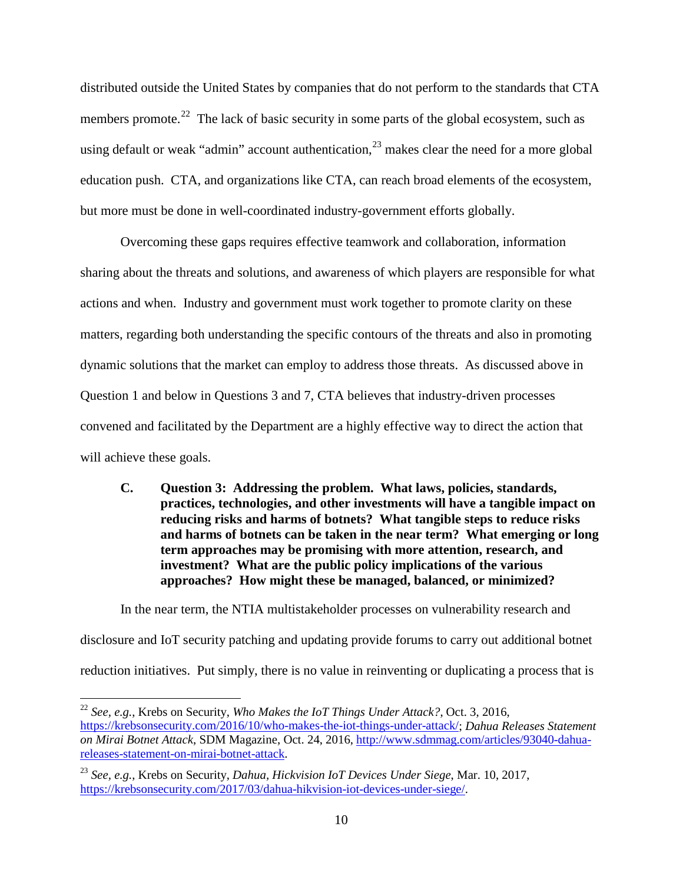distributed outside the United States by companies that do not perform to the standards that CTA members promote.<sup>22</sup> The lack of basic security in some parts of the global ecosystem, such as using default or weak "admin" account authentication,  $2<sup>3</sup>$  makes clear the need for a more global education push. CTA, and organizations like CTA, can reach broad elements of the ecosystem, but more must be done in well-coordinated industry-government efforts globally.

Overcoming these gaps requires effective teamwork and collaboration, information sharing about the threats and solutions, and awareness of which players are responsible for what actions and when. Industry and government must work together to promote clarity on these matters, regarding both understanding the specific contours of the threats and also in promoting dynamic solutions that the market can employ to address those threats. As discussed above in Question 1 and below in Questions 3 and 7, CTA believes that industry-driven processes convened and facilitated by the Department are a highly effective way to direct the action that will achieve these goals.

<span id="page-11-0"></span>**C. Question 3: Addressing the problem. What laws, policies, standards, practices, technologies, and other investments will have a tangible impact on reducing risks and harms of botnets? What tangible steps to reduce risks and harms of botnets can be taken in the near term? What emerging or long term approaches may be promising with more attention, research, and investment? What are the public policy implications of the various approaches? How might these be managed, balanced, or minimized?** 

In the near term, the NTIA multistakeholder processes on vulnerability research and disclosure and IoT security patching and updating provide forums to carry out additional botnet reduction initiatives. Put simply, there is no value in reinventing or duplicating a process that is

<span id="page-11-1"></span> <sup>22</sup> *See, e.g.*, Krebs on Security, *Who Makes the IoT Things Under Attack?*, Oct. 3, 2016, [https://krebsonsecurity.com/2016/10/who-makes-the-iot-things-under-attack/;](https://krebsonsecurity.com/2016/10/who-makes-the-iot-things-under-attack/) *Dahua Releases Statement on Mirai Botnet Attack*, SDM Magazine, Oct. 24, 2016, [http://www.sdmmag.com/articles/93040-dahua](http://www.sdmmag.com/articles/93040-dahua-releases-statement-on-mirai-botnet-attack)[releases-statement-on-mirai-botnet-attack.](http://www.sdmmag.com/articles/93040-dahua-releases-statement-on-mirai-botnet-attack)

<span id="page-11-2"></span><sup>23</sup> *See, e.g.*, Krebs on Security, *Dahua, Hickvision IoT Devices Under Siege*, Mar. 10, 2017, [https://krebsonsecurity.com/2017/03/dahua-hikvision-iot-devices-under-siege/.](https://krebsonsecurity.com/2017/03/dahua-hikvision-iot-devices-under-siege/)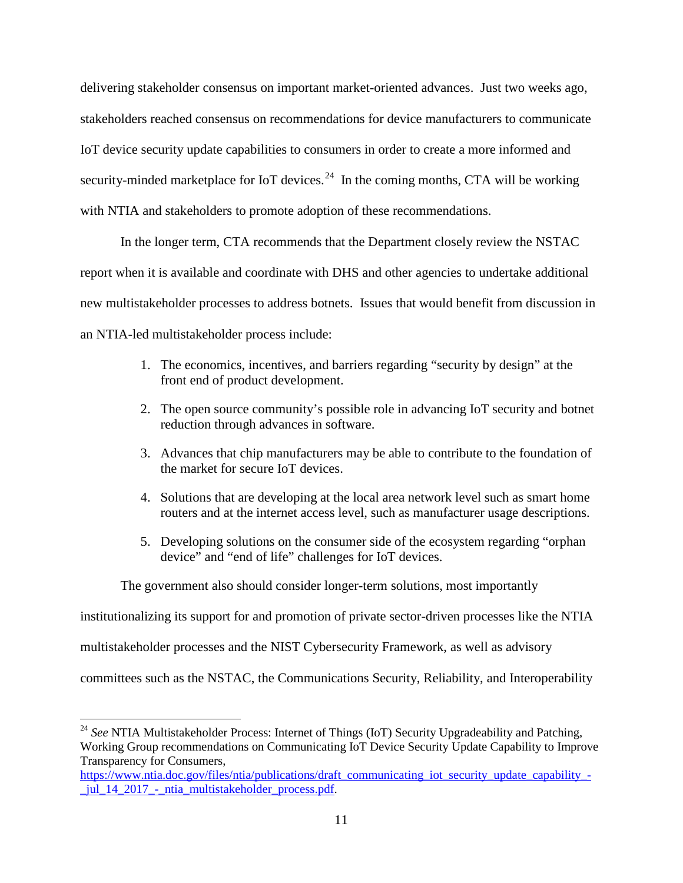delivering stakeholder consensus on important market-oriented advances. Just two weeks ago, stakeholders reached consensus on recommendations for device manufacturers to communicate IoT device security update capabilities to consumers in order to create a more informed and security-minded marketplace for IoT devices.<sup>24</sup> In the coming months, CTA will be working with NTIA and stakeholders to promote adoption of these recommendations.

In the longer term, CTA recommends that the Department closely review the NSTAC report when it is available and coordinate with DHS and other agencies to undertake additional new multistakeholder processes to address botnets. Issues that would benefit from discussion in an NTIA-led multistakeholder process include:

- 1. The economics, incentives, and barriers regarding "security by design" at the front end of product development.
- 2. The open source community's possible role in advancing IoT security and botnet reduction through advances in software.
- 3. Advances that chip manufacturers may be able to contribute to the foundation of the market for secure IoT devices.
- 4. Solutions that are developing at the local area network level such as smart home routers and at the internet access level, such as manufacturer usage descriptions.
- 5. Developing solutions on the consumer side of the ecosystem regarding "orphan device" and "end of life" challenges for IoT devices.

The government also should consider longer-term solutions, most importantly

institutionalizing its support for and promotion of private sector-driven processes like the NTIA

multistakeholder processes and the NIST Cybersecurity Framework, as well as advisory

committees such as the NSTAC, the Communications Security, Reliability, and Interoperability

<span id="page-12-0"></span><sup>&</sup>lt;sup>24</sup> See NTIA Multistakeholder Process: Internet of Things (IoT) Security Upgradeability and Patching, Working Group recommendations on Communicating IoT Device Security Update Capability to Improve Transparency for Consumers,

[https://www.ntia.doc.gov/files/ntia/publications/draft\\_communicating\\_iot\\_security\\_update\\_capability\\_-](https://www.ntia.doc.gov/files/ntia/publications/draft_communicating_iot_security_update_capability_-_jul_14_2017_-_ntia_multistakeholder_process.pdf) [\\_jul\\_14\\_2017\\_-\\_ntia\\_multistakeholder\\_process.pdf.](https://www.ntia.doc.gov/files/ntia/publications/draft_communicating_iot_security_update_capability_-_jul_14_2017_-_ntia_multistakeholder_process.pdf)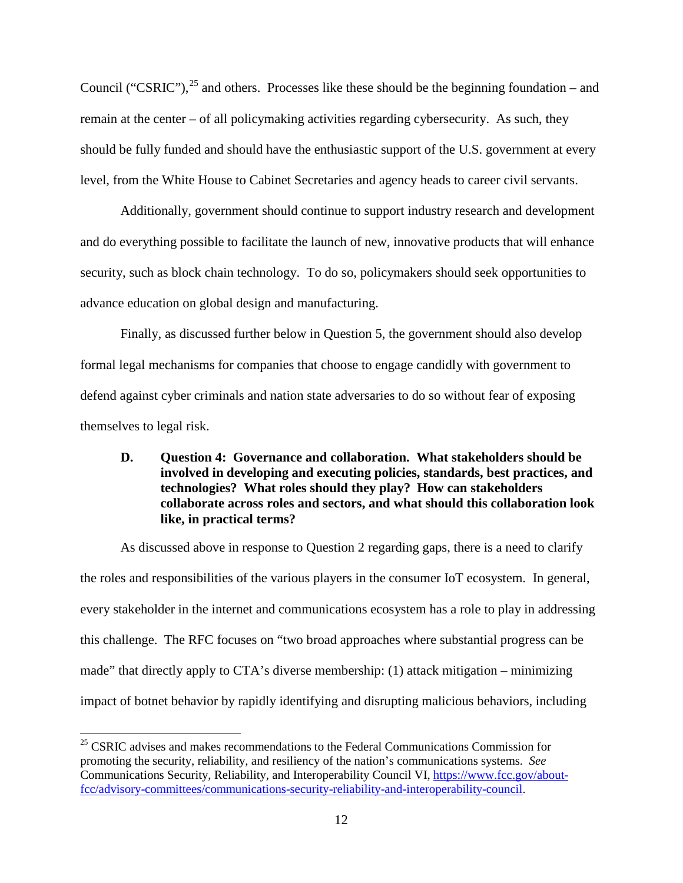Council ("CSRIC"),  $^{25}$  $^{25}$  $^{25}$  and others. Processes like these should be the beginning foundation – and remain at the center – of all policymaking activities regarding cybersecurity. As such, they should be fully funded and should have the enthusiastic support of the U.S. government at every level, from the White House to Cabinet Secretaries and agency heads to career civil servants.

Additionally, government should continue to support industry research and development and do everything possible to facilitate the launch of new, innovative products that will enhance security, such as block chain technology. To do so, policymakers should seek opportunities to advance education on global design and manufacturing.

Finally, as discussed further below in Question 5, the government should also develop formal legal mechanisms for companies that choose to engage candidly with government to defend against cyber criminals and nation state adversaries to do so without fear of exposing themselves to legal risk.

## <span id="page-13-0"></span>**D. Question 4: Governance and collaboration. What stakeholders should be involved in developing and executing policies, standards, best practices, and technologies? What roles should they play? How can stakeholders collaborate across roles and sectors, and what should this collaboration look like, in practical terms?**

As discussed above in response to Question 2 regarding gaps, there is a need to clarify the roles and responsibilities of the various players in the consumer IoT ecosystem. In general, every stakeholder in the internet and communications ecosystem has a role to play in addressing this challenge. The RFC focuses on "two broad approaches where substantial progress can be made" that directly apply to CTA's diverse membership: (1) attack mitigation – minimizing impact of botnet behavior by rapidly identifying and disrupting malicious behaviors, including

<span id="page-13-1"></span> $25$  CSRIC advises and makes recommendations to the Federal Communications Commission for promoting the security, reliability, and resiliency of the nation's communications systems. *See* Communications Security, Reliability, and Interoperability Council VI, [https://www.fcc.gov/about](https://www.fcc.gov/about-fcc/advisory-committees/communications-security-reliability-and-interoperability-council)[fcc/advisory-committees/communications-security-reliability-and-interoperability-council.](https://www.fcc.gov/about-fcc/advisory-committees/communications-security-reliability-and-interoperability-council)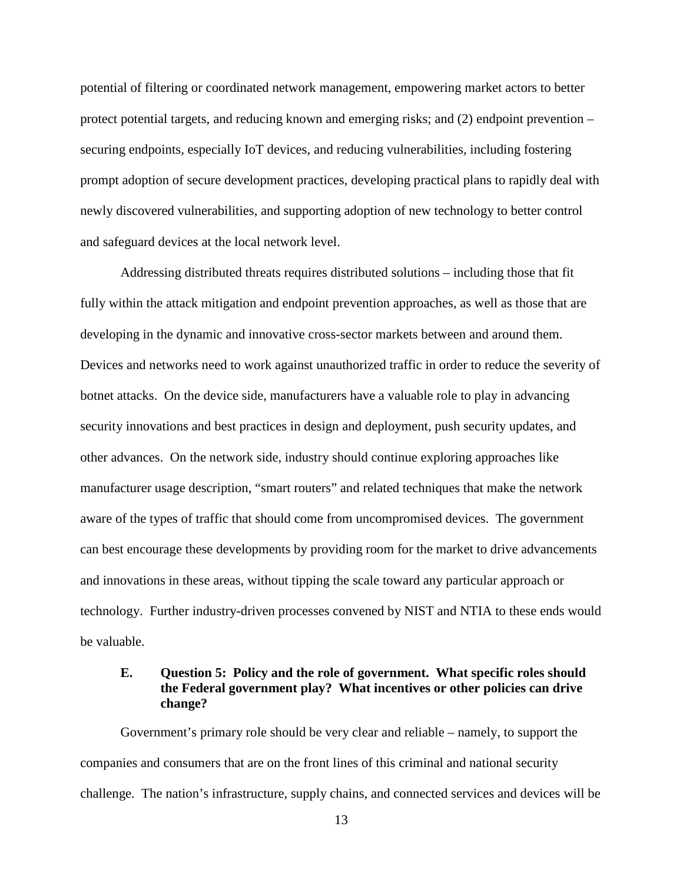potential of filtering or coordinated network management, empowering market actors to better protect potential targets, and reducing known and emerging risks; and (2) endpoint prevention – securing endpoints, especially IoT devices, and reducing vulnerabilities, including fostering prompt adoption of secure development practices, developing practical plans to rapidly deal with newly discovered vulnerabilities, and supporting adoption of new technology to better control and safeguard devices at the local network level.

Addressing distributed threats requires distributed solutions – including those that fit fully within the attack mitigation and endpoint prevention approaches, as well as those that are developing in the dynamic and innovative cross-sector markets between and around them. Devices and networks need to work against unauthorized traffic in order to reduce the severity of botnet attacks. On the device side, manufacturers have a valuable role to play in advancing security innovations and best practices in design and deployment, push security updates, and other advances. On the network side, industry should continue exploring approaches like manufacturer usage description, "smart routers" and related techniques that make the network aware of the types of traffic that should come from uncompromised devices. The government can best encourage these developments by providing room for the market to drive advancements and innovations in these areas, without tipping the scale toward any particular approach or technology. Further industry-driven processes convened by NIST and NTIA to these ends would be valuable.

### <span id="page-14-0"></span>**E. Question 5: Policy and the role of government. What specific roles should the Federal government play? What incentives or other policies can drive change?**

Government's primary role should be very clear and reliable – namely, to support the companies and consumers that are on the front lines of this criminal and national security challenge. The nation's infrastructure, supply chains, and connected services and devices will be

13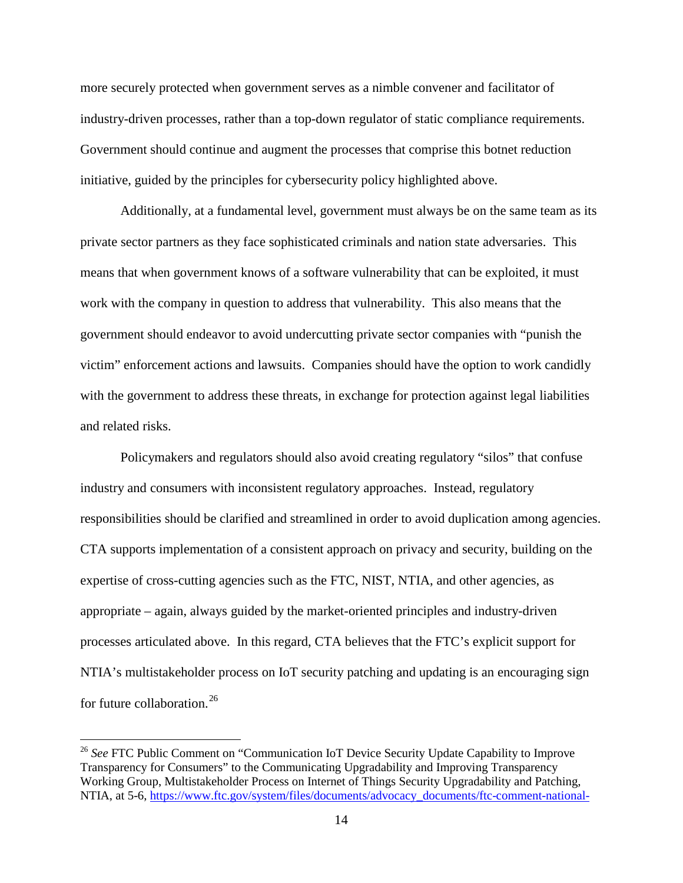more securely protected when government serves as a nimble convener and facilitator of industry-driven processes, rather than a top-down regulator of static compliance requirements. Government should continue and augment the processes that comprise this botnet reduction initiative, guided by the principles for cybersecurity policy highlighted above.

Additionally, at a fundamental level, government must always be on the same team as its private sector partners as they face sophisticated criminals and nation state adversaries. This means that when government knows of a software vulnerability that can be exploited, it must work with the company in question to address that vulnerability. This also means that the government should endeavor to avoid undercutting private sector companies with "punish the victim" enforcement actions and lawsuits. Companies should have the option to work candidly with the government to address these threats, in exchange for protection against legal liabilities and related risks.

Policymakers and regulators should also avoid creating regulatory "silos" that confuse industry and consumers with inconsistent regulatory approaches. Instead, regulatory responsibilities should be clarified and streamlined in order to avoid duplication among agencies. CTA supports implementation of a consistent approach on privacy and security, building on the expertise of cross-cutting agencies such as the FTC, NIST, NTIA, and other agencies, as appropriate – again, always guided by the market-oriented principles and industry-driven processes articulated above. In this regard, CTA believes that the FTC's explicit support for NTIA's multistakeholder process on IoT security patching and updating is an encouraging sign for future collaboration. [26](#page-15-0)

<span id="page-15-0"></span><sup>&</sup>lt;sup>26</sup> See FTC Public Comment on "Communication IoT Device Security Update Capability to Improve Transparency for Consumers" to the Communicating Upgradability and Improving Transparency Working Group, Multistakeholder Process on Internet of Things Security Upgradability and Patching, NTIA, at 5-6, [https://www.ftc.gov/system/files/documents/advocacy\\_documents/ftc-comment-national-](https://www.ftc.gov/system/files/documents/advocacy_documents/ftc-comment-national-telecommunications-information-administration-communicating-iot-device-security/170619ntiaiotcomment.pdf)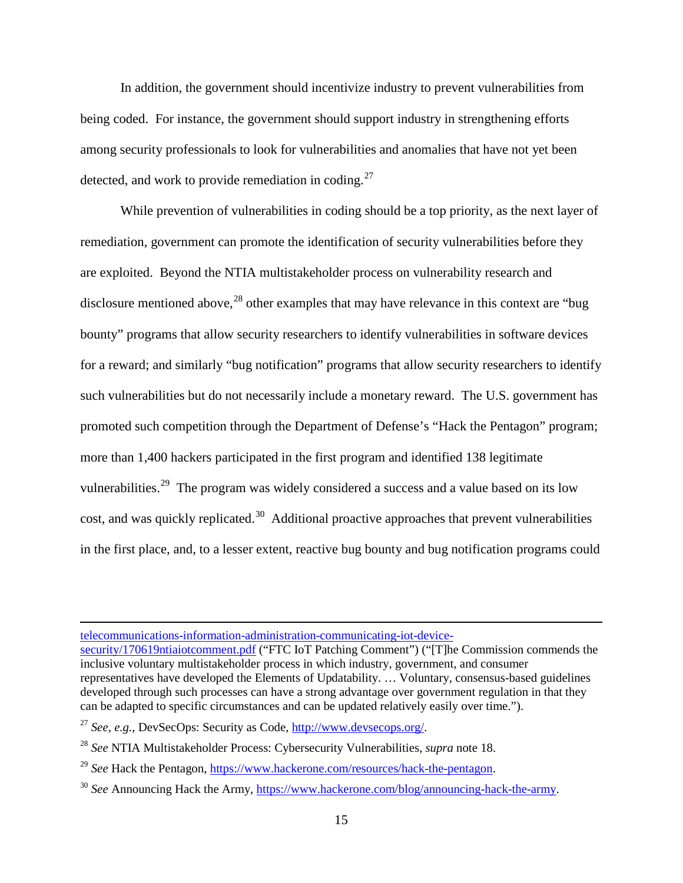In addition, the government should incentivize industry to prevent vulnerabilities from being coded. For instance, the government should support industry in strengthening efforts among security professionals to look for vulnerabilities and anomalies that have not yet been detected, and work to provide remediation in coding.<sup>27</sup>

While prevention of vulnerabilities in coding should be a top priority, as the next layer of remediation, government can promote the identification of security vulnerabilities before they are exploited. Beyond the NTIA multistakeholder process on vulnerability research and disclosure mentioned above,  $28$  other examples that may have relevance in this context are "bug bounty" programs that allow security researchers to identify vulnerabilities in software devices for a reward; and similarly "bug notification" programs that allow security researchers to identify such vulnerabilities but do not necessarily include a monetary reward. The U.S. government has promoted such competition through the Department of Defense's "Hack the Pentagon" program; more than 1,400 hackers participated in the first program and identified 138 legitimate vulnerabilities.<sup>[29](#page-16-2)</sup> The program was widely considered a success and a value based on its low cost, and was quickly replicated.<sup>[30](#page-16-3)</sup> Additional proactive approaches that prevent vulnerabilities in the first place, and, to a lesser extent, reactive bug bounty and bug notification programs could

[telecommunications-information-administration-communicating-iot-device-](https://www.ftc.gov/system/files/documents/advocacy_documents/ftc-comment-national-telecommunications-information-administration-communicating-iot-device-security/170619ntiaiotcomment.pdf)

 $\overline{a}$ 

[security/170619ntiaiotcomment.pdf](https://www.ftc.gov/system/files/documents/advocacy_documents/ftc-comment-national-telecommunications-information-administration-communicating-iot-device-security/170619ntiaiotcomment.pdf) ("FTC IoT Patching Comment") ("[T]he Commission commends the inclusive voluntary multistakeholder process in which industry, government, and consumer representatives have developed the Elements of Updatability. … Voluntary, consensus-based guidelines developed through such processes can have a strong advantage over government regulation in that they can be adapted to specific circumstances and can be updated relatively easily over time.").

<span id="page-16-0"></span><sup>27</sup> *See, e.g.*, DevSecOps: Security as Code[, http://www.devsecops.org/.](http://www.devsecops.org/)

<span id="page-16-1"></span><sup>28</sup> *See* NTIA Multistakeholder Process: Cybersecurity Vulnerabilities, *supra* note 18.

<span id="page-16-2"></span><sup>29</sup> *See* Hack the Pentagon, [https://www.hackerone.com/resources/hack-the-pentagon.](https://www.hackerone.com/resources/hack-the-pentagon)

<span id="page-16-3"></span><sup>30</sup> *See* Announcing Hack the Army, [https://www.hackerone.com/blog/announcing-hack-the-army.](https://www.hackerone.com/blog/announcing-hack-the-army)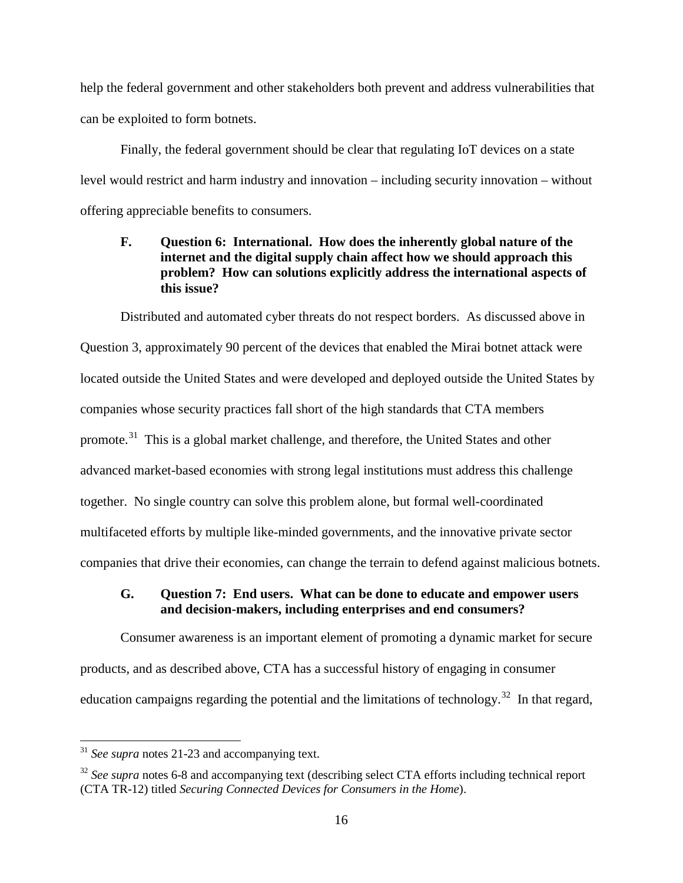help the federal government and other stakeholders both prevent and address vulnerabilities that can be exploited to form botnets.

Finally, the federal government should be clear that regulating IoT devices on a state level would restrict and harm industry and innovation – including security innovation – without offering appreciable benefits to consumers.

## <span id="page-17-0"></span>**F. Question 6: International. How does the inherently global nature of the internet and the digital supply chain affect how we should approach this problem? How can solutions explicitly address the international aspects of this issue?**

Distributed and automated cyber threats do not respect borders. As discussed above in Question 3, approximately 90 percent of the devices that enabled the Mirai botnet attack were located outside the United States and were developed and deployed outside the United States by companies whose security practices fall short of the high standards that CTA members promote.<sup>31</sup> This is a global market challenge, and therefore, the United States and other advanced market-based economies with strong legal institutions must address this challenge together. No single country can solve this problem alone, but formal well-coordinated multifaceted efforts by multiple like-minded governments, and the innovative private sector companies that drive their economies, can change the terrain to defend against malicious botnets.

### <span id="page-17-1"></span>**G. Question 7: End users. What can be done to educate and empower users and decision-makers, including enterprises and end consumers?**

Consumer awareness is an important element of promoting a dynamic market for secure products, and as described above, CTA has a successful history of engaging in consumer education campaigns regarding the potential and the limitations of technology.<sup>32</sup> In that regard,

<span id="page-17-2"></span> <sup>31</sup> *See supra* notes 21-23 and accompanying text.

<span id="page-17-3"></span><sup>&</sup>lt;sup>32</sup> See supra notes 6-8 and accompanying text (describing select CTA efforts including technical report (CTA TR-12) titled *Securing Connected Devices for Consumers in the Home*).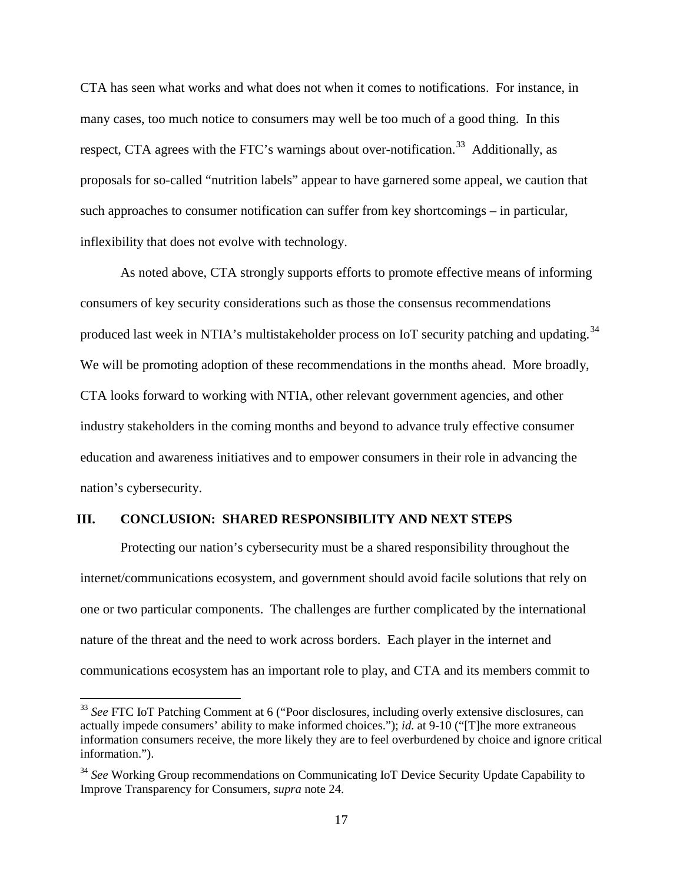CTA has seen what works and what does not when it comes to notifications. For instance, in many cases, too much notice to consumers may well be too much of a good thing. In this respect, CTA agrees with the FTC's warnings about over-notification.<sup>[33](#page-18-1)</sup> Additionally, as proposals for so-called "nutrition labels" appear to have garnered some appeal, we caution that such approaches to consumer notification can suffer from key shortcomings – in particular, inflexibility that does not evolve with technology.

As noted above, CTA strongly supports efforts to promote effective means of informing consumers of key security considerations such as those the consensus recommendations produced last week in NTIA's multistakeholder process on IoT security patching and updating.<sup>34</sup> We will be promoting adoption of these recommendations in the months ahead. More broadly, CTA looks forward to working with NTIA, other relevant government agencies, and other industry stakeholders in the coming months and beyond to advance truly effective consumer education and awareness initiatives and to empower consumers in their role in advancing the nation's cybersecurity.

#### <span id="page-18-0"></span>**III. CONCLUSION: SHARED RESPONSIBILITY AND NEXT STEPS**

Protecting our nation's cybersecurity must be a shared responsibility throughout the internet/communications ecosystem, and government should avoid facile solutions that rely on one or two particular components. The challenges are further complicated by the international nature of the threat and the need to work across borders. Each player in the internet and communications ecosystem has an important role to play, and CTA and its members commit to

<span id="page-18-1"></span> <sup>33</sup> *See* FTC IoT Patching Comment at 6 ("Poor disclosures, including overly extensive disclosures, can actually impede consumers' ability to make informed choices."); *id.* at 9-10 ("[T]he more extraneous information consumers receive, the more likely they are to feel overburdened by choice and ignore critical information.").

<span id="page-18-2"></span><sup>34</sup> *See* Working Group recommendations on Communicating IoT Device Security Update Capability to Improve Transparency for Consumers, *supra* note 24.